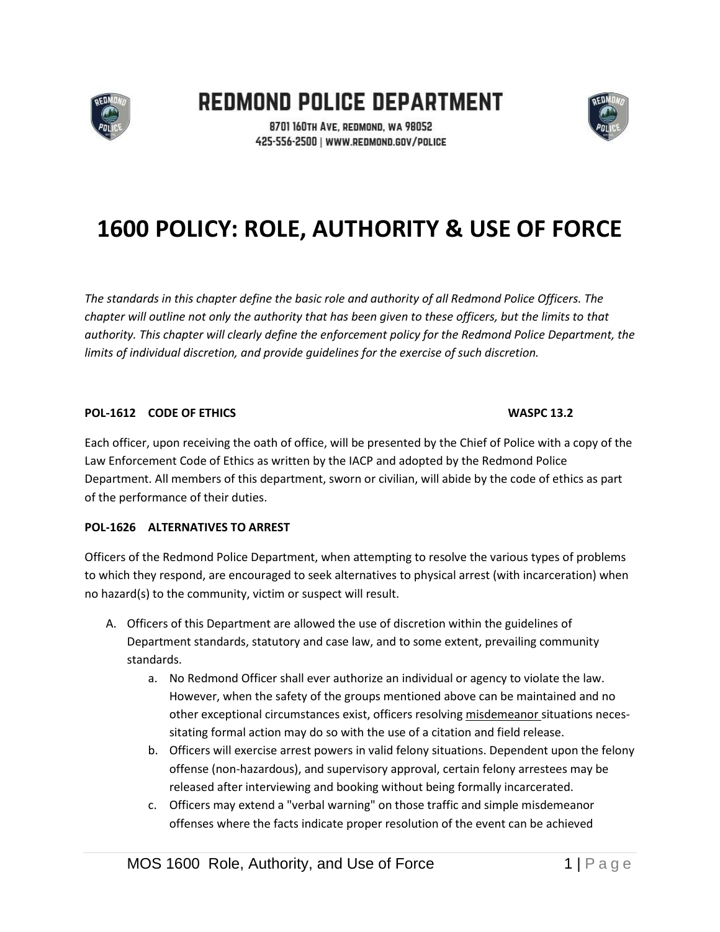

REDMOND POLICE DEPARTMENT



8701 160TH AVE, REDMOND, WA 98052 425-556-2500 | WWW.REDMOND.GOV/POLICE

# **1600 POLICY: ROLE, AUTHORITY & USE OF FORCE**

*The standards in this chapter define the basic role and authority of all Redmond Police Officers. The chapter will outline not only the authority that has been given to these officers, but the limits to that authority. This chapter will clearly define the enforcement policy for the Redmond Police Department, the limits of individual discretion, and provide guidelines for the exercise of such discretion.*

### **POL-1612 CODE OF ETHICS WASPC 13.2**

Each officer, upon receiving the oath of office, will be presented by the Chief of Police with a copy of the Law Enforcement Code of Ethics as written by the IACP and adopted by the Redmond Police Department. All members of this department, sworn or civilian, will abide by the code of ethics as part of the performance of their duties.

# **POL-1626 ALTERNATIVES TO ARREST**

Officers of the Redmond Police Department, when attempting to resolve the various types of problems to which they respond, are encouraged to seek alternatives to physical arrest (with incarceration) when no hazard(s) to the community, victim or suspect will result.

- A. Officers of this Department are allowed the use of discretion within the guidelines of Department standards, statutory and case law, and to some extent, prevailing community standards.
	- a. No Redmond Officer shall ever authorize an individual or agency to violate the law. However, when the safety of the groups mentioned above can be maintained and no other exceptional circumstances exist, officers resolving misdemeanor situations necessitating formal action may do so with the use of a citation and field release.
	- b. Officers will exercise arrest powers in valid felony situations. Dependent upon the felony offense (non-hazardous), and supervisory approval, certain felony arrestees may be released after interviewing and booking without being formally incarcerated.
	- c. Officers may extend a "verbal warning" on those traffic and simple misdemeanor offenses where the facts indicate proper resolution of the event can be achieved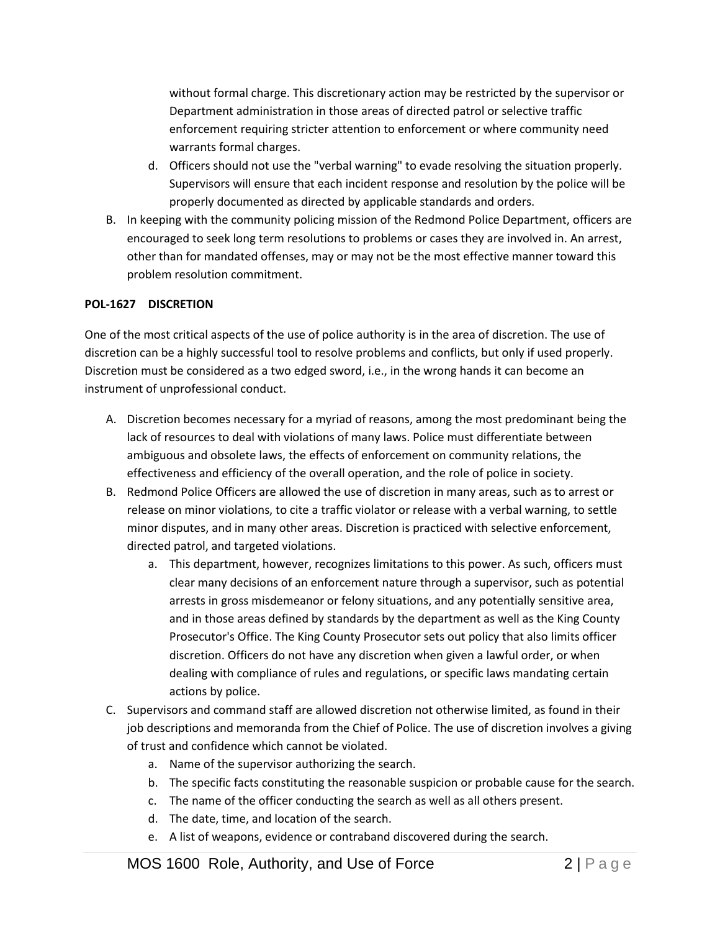without formal charge. This discretionary action may be restricted by the supervisor or Department administration in those areas of directed patrol or selective traffic enforcement requiring stricter attention to enforcement or where community need warrants formal charges.

- d. Officers should not use the "verbal warning" to evade resolving the situation properly. Supervisors will ensure that each incident response and resolution by the police will be properly documented as directed by applicable standards and orders.
- B. In keeping with the community policing mission of the Redmond Police Department, officers are encouraged to seek long term resolutions to problems or cases they are involved in. An arrest, other than for mandated offenses, may or may not be the most effective manner toward this problem resolution commitment.

# **POL-1627 DISCRETION**

One of the most critical aspects of the use of police authority is in the area of discretion. The use of discretion can be a highly successful tool to resolve problems and conflicts, but only if used properly. Discretion must be considered as a two edged sword, i.e., in the wrong hands it can become an instrument of unprofessional conduct.

- A. Discretion becomes necessary for a myriad of reasons, among the most predominant being the lack of resources to deal with violations of many laws. Police must differentiate between ambiguous and obsolete laws, the effects of enforcement on community relations, the effectiveness and efficiency of the overall operation, and the role of police in society.
- B. Redmond Police Officers are allowed the use of discretion in many areas, such as to arrest or release on minor violations, to cite a traffic violator or release with a verbal warning, to settle minor disputes, and in many other areas. Discretion is practiced with selective enforcement, directed patrol, and targeted violations.
	- a. This department, however, recognizes limitations to this power. As such, officers must clear many decisions of an enforcement nature through a supervisor, such as potential arrests in gross misdemeanor or felony situations, and any potentially sensitive area, and in those areas defined by standards by the department as well as the King County Prosecutor's Office. The King County Prosecutor sets out policy that also limits officer discretion. Officers do not have any discretion when given a lawful order, or when dealing with compliance of rules and regulations, or specific laws mandating certain actions by police.
- C. Supervisors and command staff are allowed discretion not otherwise limited, as found in their job descriptions and memoranda from the Chief of Police. The use of discretion involves a giving of trust and confidence which cannot be violated.
	- a. Name of the supervisor authorizing the search.
	- b. The specific facts constituting the reasonable suspicion or probable cause for the search.
	- c. The name of the officer conducting the search as well as all others present.
	- d. The date, time, and location of the search.
	- e. A list of weapons, evidence or contraband discovered during the search.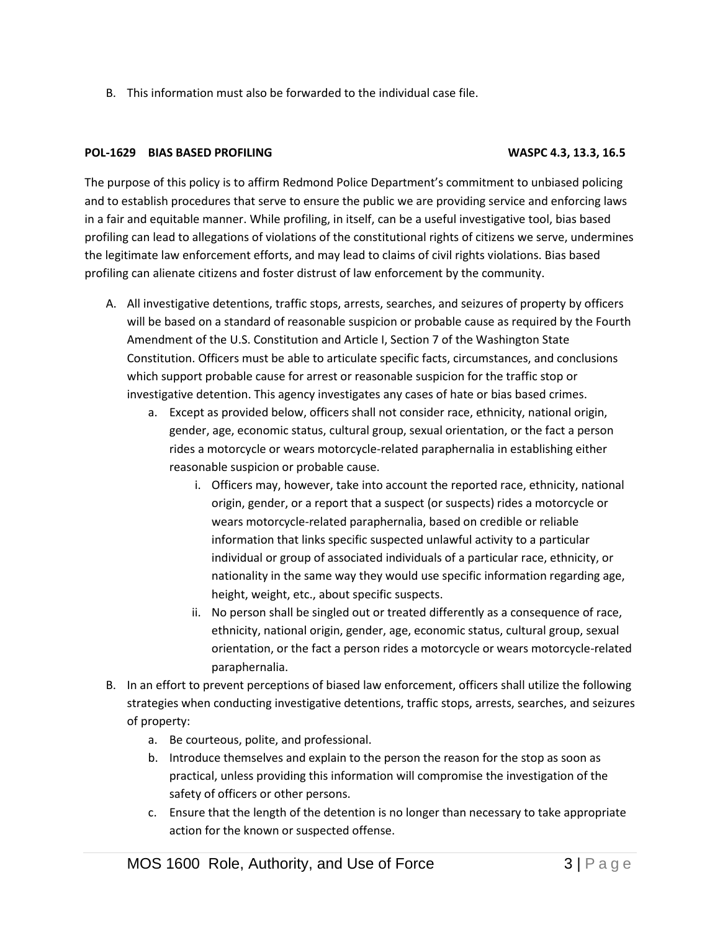B. This information must also be forwarded to the individual case file.

#### **POL-1629 BIAS BASED PROFILING WASPC 4.3, 13.3, 16.5**

The purpose of this policy is to affirm Redmond Police Department's commitment to unbiased policing and to establish procedures that serve to ensure the public we are providing service and enforcing laws in a fair and equitable manner. While profiling, in itself, can be a useful investigative tool, bias based profiling can lead to allegations of violations of the constitutional rights of citizens we serve, undermines the legitimate law enforcement efforts, and may lead to claims of civil rights violations. Bias based profiling can alienate citizens and foster distrust of law enforcement by the community.

- A. All investigative detentions, traffic stops, arrests, searches, and seizures of property by officers will be based on a standard of reasonable suspicion or probable cause as required by the Fourth Amendment of the U.S. Constitution and Article I, Section 7 of the Washington State Constitution. Officers must be able to articulate specific facts, circumstances, and conclusions which support probable cause for arrest or reasonable suspicion for the traffic stop or investigative detention. This agency investigates any cases of hate or bias based crimes.
	- a. Except as provided below, officers shall not consider race, ethnicity, national origin, gender, age, economic status, cultural group, sexual orientation, or the fact a person rides a motorcycle or wears motorcycle-related paraphernalia in establishing either reasonable suspicion or probable cause.
		- i. Officers may, however, take into account the reported race, ethnicity, national origin, gender, or a report that a suspect (or suspects) rides a motorcycle or wears motorcycle-related paraphernalia, based on credible or reliable information that links specific suspected unlawful activity to a particular individual or group of associated individuals of a particular race, ethnicity, or nationality in the same way they would use specific information regarding age, height, weight, etc., about specific suspects.
		- ii. No person shall be singled out or treated differently as a consequence of race, ethnicity, national origin, gender, age, economic status, cultural group, sexual orientation, or the fact a person rides a motorcycle or wears motorcycle-related paraphernalia.
- B. In an effort to prevent perceptions of biased law enforcement, officers shall utilize the following strategies when conducting investigative detentions, traffic stops, arrests, searches, and seizures of property:
	- a. Be courteous, polite, and professional.
	- b. Introduce themselves and explain to the person the reason for the stop as soon as practical, unless providing this information will compromise the investigation of the safety of officers or other persons.
	- c. Ensure that the length of the detention is no longer than necessary to take appropriate action for the known or suspected offense.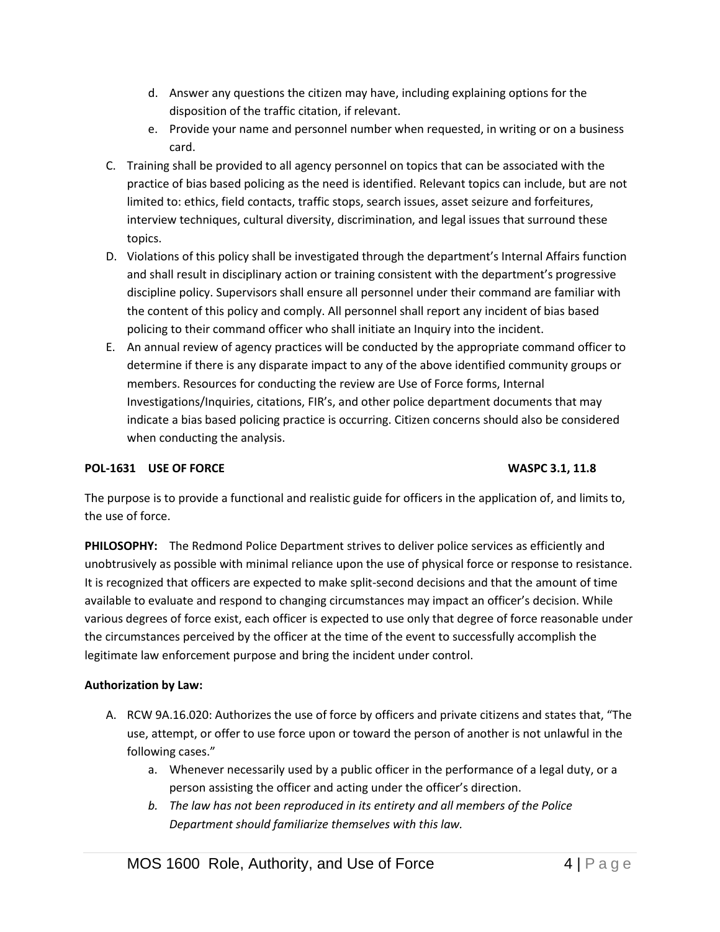- d. Answer any questions the citizen may have, including explaining options for the disposition of the traffic citation, if relevant.
- e. Provide your name and personnel number when requested, in writing or on a business card.
- C. Training shall be provided to all agency personnel on topics that can be associated with the practice of bias based policing as the need is identified. Relevant topics can include, but are not limited to: ethics, field contacts, traffic stops, search issues, asset seizure and forfeitures, interview techniques, cultural diversity, discrimination, and legal issues that surround these topics.
- D. Violations of this policy shall be investigated through the department's Internal Affairs function and shall result in disciplinary action or training consistent with the department's progressive discipline policy. Supervisors shall ensure all personnel under their command are familiar with the content of this policy and comply. All personnel shall report any incident of bias based policing to their command officer who shall initiate an Inquiry into the incident.
- E. An annual review of agency practices will be conducted by the appropriate command officer to determine if there is any disparate impact to any of the above identified community groups or members. Resources for conducting the review are Use of Force forms, Internal Investigations/Inquiries, citations, FIR's, and other police department documents that may indicate a bias based policing practice is occurring. Citizen concerns should also be considered when conducting the analysis.

# **POL-1631 USE OF FORCE WASPC 3.1, 11.8**

The purpose is to provide a functional and realistic guide for officers in the application of, and limits to, the use of force.

**PHILOSOPHY:** The Redmond Police Department strives to deliver police services as efficiently and unobtrusively as possible with minimal reliance upon the use of physical force or response to resistance. It is recognized that officers are expected to make split-second decisions and that the amount of time available to evaluate and respond to changing circumstances may impact an officer's decision. While various degrees of force exist, each officer is expected to use only that degree of force reasonable under the circumstances perceived by the officer at the time of the event to successfully accomplish the legitimate law enforcement purpose and bring the incident under control.

### **Authorization by Law:**

- A. RCW 9A.16.020: Authorizes the use of force by officers and private citizens and states that, "The use, attempt, or offer to use force upon or toward the person of another is not unlawful in the following cases."
	- a. Whenever necessarily used by a public officer in the performance of a legal duty, or a person assisting the officer and acting under the officer's direction.
	- *b. The law has not been reproduced in its entirety and all members of the Police Department should familiarize themselves with this law.*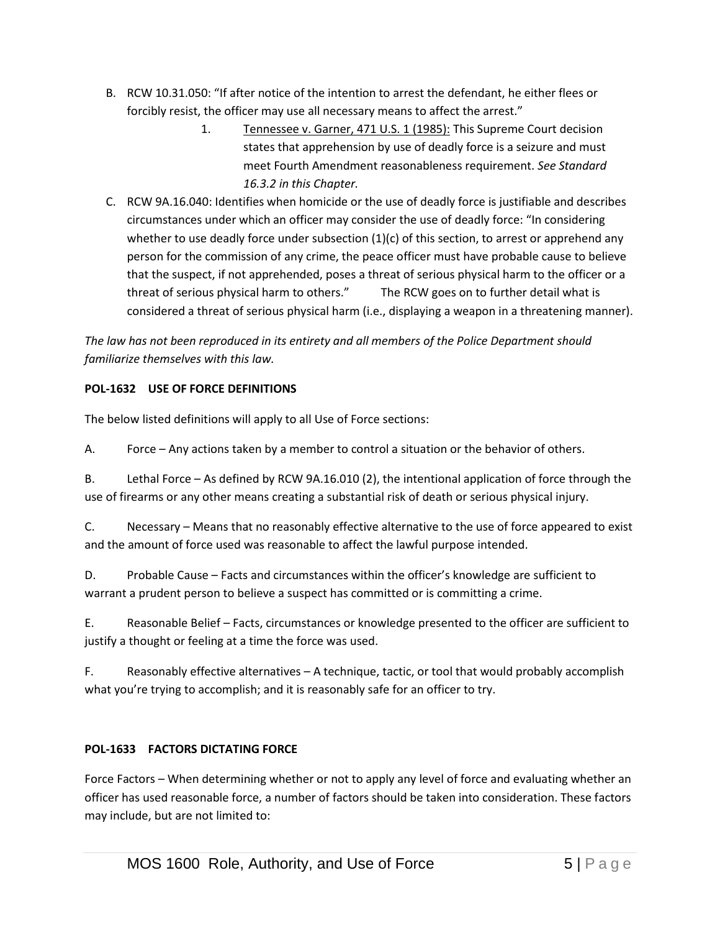- B. RCW 10.31.050: "If after notice of the intention to arrest the defendant, he either flees or forcibly resist, the officer may use all necessary means to affect the arrest."
	- 1. Tennessee v. Garner, 471 U.S. 1 (1985): This Supreme Court decision states that apprehension by use of deadly force is a seizure and must meet Fourth Amendment reasonableness requirement. *See Standard 16.3.2 in this Chapter.*
- C. RCW 9A.16.040: Identifies when homicide or the use of deadly force is justifiable and describes circumstances under which an officer may consider the use of deadly force: "In considering whether to use deadly force under subsection  $(1)(c)$  of this section, to arrest or apprehend any person for the commission of any crime, the peace officer must have probable cause to believe that the suspect, if not apprehended, poses a threat of serious physical harm to the officer or a threat of serious physical harm to others." The RCW goes on to further detail what is considered a threat of serious physical harm (i.e., displaying a weapon in a threatening manner).

*The law has not been reproduced in its entirety and all members of the Police Department should familiarize themselves with this law.*

# **POL-1632 USE OF FORCE DEFINITIONS**

The below listed definitions will apply to all Use of Force sections:

A. Force – Any actions taken by a member to control a situation or the behavior of others.

B. Lethal Force – As defined by RCW 9A.16.010 (2), the intentional application of force through the use of firearms or any other means creating a substantial risk of death or serious physical injury.

C. Necessary – Means that no reasonably effective alternative to the use of force appeared to exist and the amount of force used was reasonable to affect the lawful purpose intended.

D. Probable Cause – Facts and circumstances within the officer's knowledge are sufficient to warrant a prudent person to believe a suspect has committed or is committing a crime.

E. Reasonable Belief – Facts, circumstances or knowledge presented to the officer are sufficient to justify a thought or feeling at a time the force was used.

F. Reasonably effective alternatives – A technique, tactic, or tool that would probably accomplish what you're trying to accomplish; and it is reasonably safe for an officer to try.

# **POL-1633 FACTORS DICTATING FORCE**

Force Factors – When determining whether or not to apply any level of force and evaluating whether an officer has used reasonable force, a number of factors should be taken into consideration. These factors may include, but are not limited to: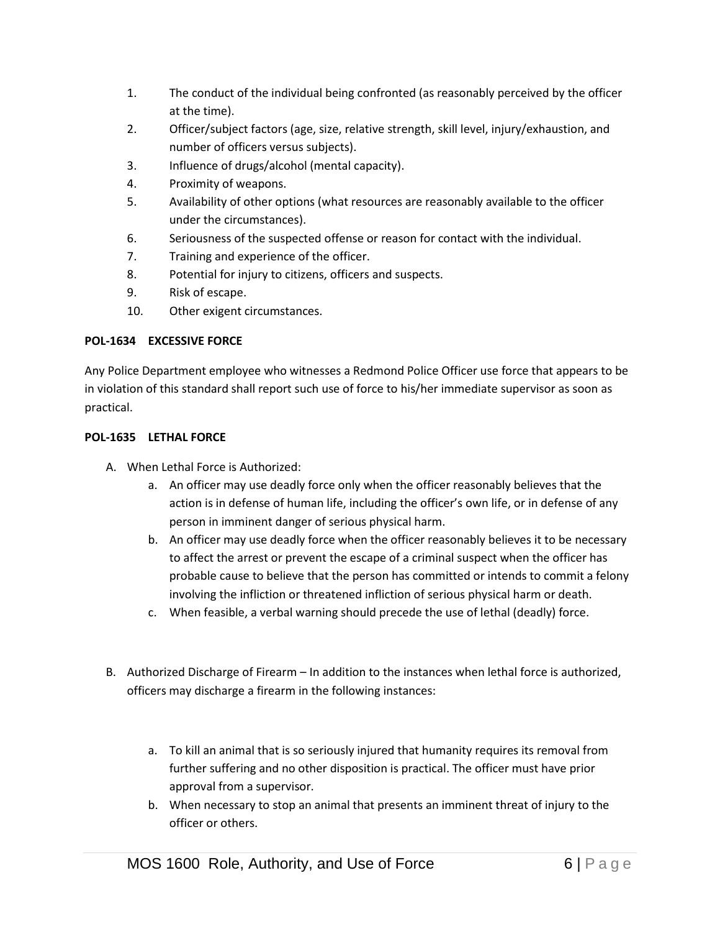- 1. The conduct of the individual being confronted (as reasonably perceived by the officer at the time).
- 2. Officer/subject factors (age, size, relative strength, skill level, injury/exhaustion, and number of officers versus subjects).
- 3. Influence of drugs/alcohol (mental capacity).
- 4. Proximity of weapons.
- 5. Availability of other options (what resources are reasonably available to the officer under the circumstances).
- 6. Seriousness of the suspected offense or reason for contact with the individual.
- 7. Training and experience of the officer.
- 8. Potential for injury to citizens, officers and suspects.
- 9. Risk of escape.
- 10. Other exigent circumstances.

### **POL-1634 EXCESSIVE FORCE**

Any Police Department employee who witnesses a Redmond Police Officer use force that appears to be in violation of this standard shall report such use of force to his/her immediate supervisor as soon as practical.

### **POL-1635 LETHAL FORCE**

- A. When Lethal Force is Authorized:
	- a. An officer may use deadly force only when the officer reasonably believes that the action is in defense of human life, including the officer's own life, or in defense of any person in imminent danger of serious physical harm.
	- b. An officer may use deadly force when the officer reasonably believes it to be necessary to affect the arrest or prevent the escape of a criminal suspect when the officer has probable cause to believe that the person has committed or intends to commit a felony involving the infliction or threatened infliction of serious physical harm or death.
	- c. When feasible, a verbal warning should precede the use of lethal (deadly) force.
- B. Authorized Discharge of Firearm In addition to the instances when lethal force is authorized, officers may discharge a firearm in the following instances:
	- a. To kill an animal that is so seriously injured that humanity requires its removal from further suffering and no other disposition is practical. The officer must have prior approval from a supervisor.
	- b. When necessary to stop an animal that presents an imminent threat of injury to the officer or others.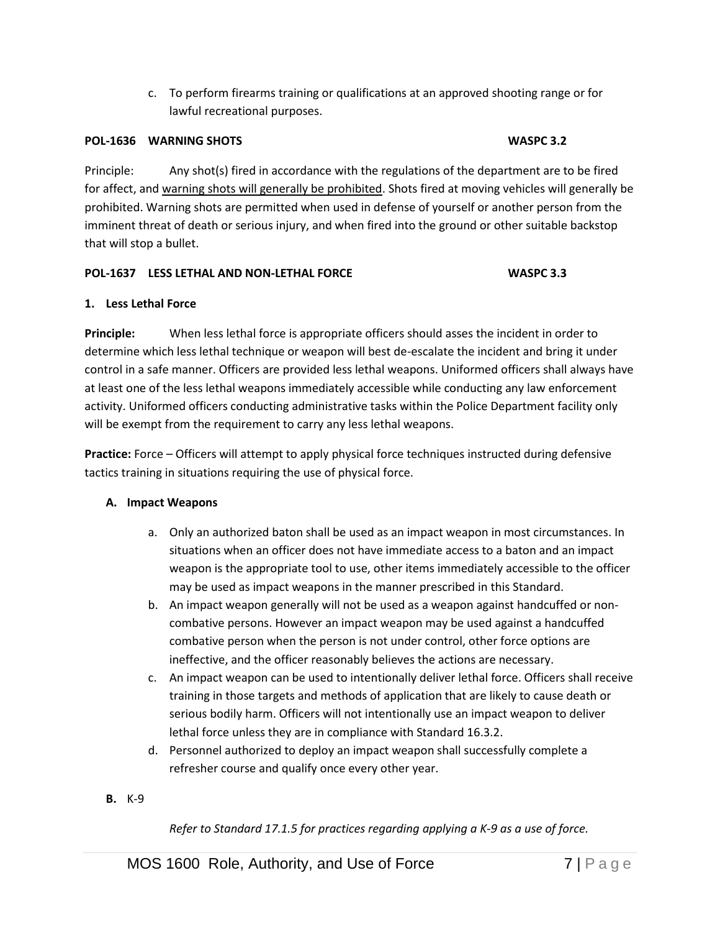c. To perform firearms training or qualifications at an approved shooting range or for lawful recreational purposes.

### **POL-1636 WARNING SHOTS WASPC 3.2**

Principle: Any shot(s) fired in accordance with the regulations of the department are to be fired for affect, and warning shots will generally be prohibited. Shots fired at moving vehicles will generally be prohibited. Warning shots are permitted when used in defense of yourself or another person from the imminent threat of death or serious injury, and when fired into the ground or other suitable backstop that will stop a bullet.

#### **POL-1637 LESS LETHAL AND NON-LETHAL FORCE WASPC 3.3**

### **1. Less Lethal Force**

**Principle:** When less lethal force is appropriate officers should asses the incident in order to determine which less lethal technique or weapon will best de-escalate the incident and bring it under control in a safe manner. Officers are provided less lethal weapons. Uniformed officers shall always have at least one of the less lethal weapons immediately accessible while conducting any law enforcement activity. Uniformed officers conducting administrative tasks within the Police Department facility only will be exempt from the requirement to carry any less lethal weapons.

**Practice:** Force – Officers will attempt to apply physical force techniques instructed during defensive tactics training in situations requiring the use of physical force.

### **A. Impact Weapons**

- a. Only an authorized baton shall be used as an impact weapon in most circumstances. In situations when an officer does not have immediate access to a baton and an impact weapon is the appropriate tool to use, other items immediately accessible to the officer may be used as impact weapons in the manner prescribed in this Standard.
- b. An impact weapon generally will not be used as a weapon against handcuffed or noncombative persons. However an impact weapon may be used against a handcuffed combative person when the person is not under control, other force options are ineffective, and the officer reasonably believes the actions are necessary.
- c. An impact weapon can be used to intentionally deliver lethal force. Officers shall receive training in those targets and methods of application that are likely to cause death or serious bodily harm. Officers will not intentionally use an impact weapon to deliver lethal force unless they are in compliance with Standard 16.3.2.
- d. Personnel authorized to deploy an impact weapon shall successfully complete a refresher course and qualify once every other year.
- **B.** K-9

*Refer to Standard 17.1.5 for practices regarding applying a K-9 as a use of force.*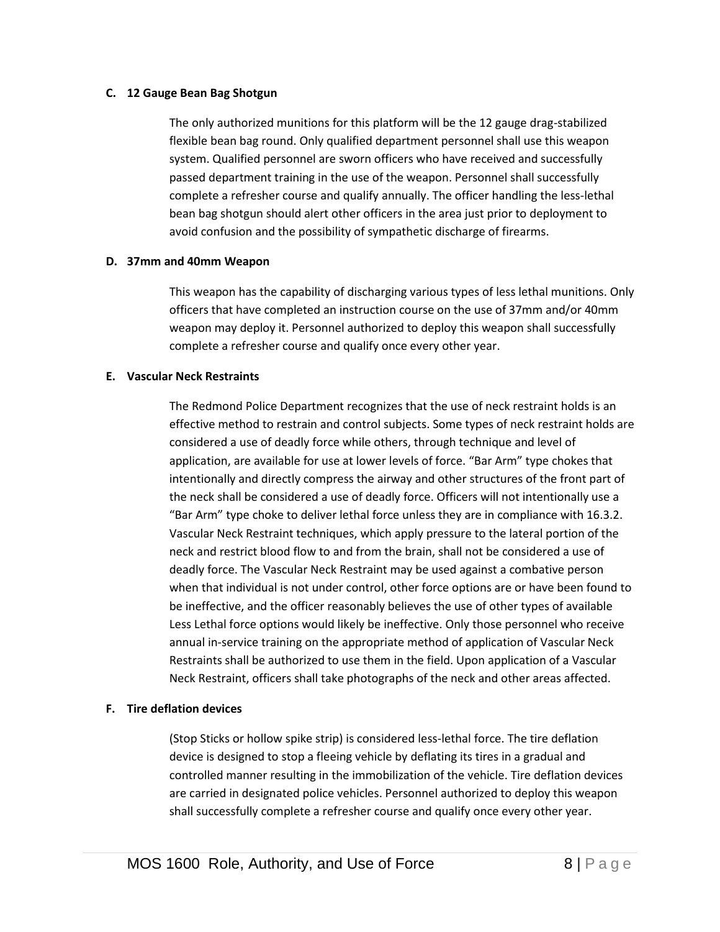#### **C. 12 Gauge Bean Bag Shotgun**

The only authorized munitions for this platform will be the 12 gauge drag-stabilized flexible bean bag round. Only qualified department personnel shall use this weapon system. Qualified personnel are sworn officers who have received and successfully passed department training in the use of the weapon. Personnel shall successfully complete a refresher course and qualify annually. The officer handling the less-lethal bean bag shotgun should alert other officers in the area just prior to deployment to avoid confusion and the possibility of sympathetic discharge of firearms.

#### **D. 37mm and 40mm Weapon**

This weapon has the capability of discharging various types of less lethal munitions. Only officers that have completed an instruction course on the use of 37mm and/or 40mm weapon may deploy it. Personnel authorized to deploy this weapon shall successfully complete a refresher course and qualify once every other year.

#### **E. Vascular Neck Restraints**

The Redmond Police Department recognizes that the use of neck restraint holds is an effective method to restrain and control subjects. Some types of neck restraint holds are considered a use of deadly force while others, through technique and level of application, are available for use at lower levels of force. "Bar Arm" type chokes that intentionally and directly compress the airway and other structures of the front part of the neck shall be considered a use of deadly force. Officers will not intentionally use a "Bar Arm" type choke to deliver lethal force unless they are in compliance with 16.3.2. Vascular Neck Restraint techniques, which apply pressure to the lateral portion of the neck and restrict blood flow to and from the brain, shall not be considered a use of deadly force. The Vascular Neck Restraint may be used against a combative person when that individual is not under control, other force options are or have been found to be ineffective, and the officer reasonably believes the use of other types of available Less Lethal force options would likely be ineffective. Only those personnel who receive annual in-service training on the appropriate method of application of Vascular Neck Restraints shall be authorized to use them in the field. Upon application of a Vascular Neck Restraint, officers shall take photographs of the neck and other areas affected.

#### **F. Tire deflation devices**

(Stop Sticks or hollow spike strip) is considered less-lethal force. The tire deflation device is designed to stop a fleeing vehicle by deflating its tires in a gradual and controlled manner resulting in the immobilization of the vehicle. Tire deflation devices are carried in designated police vehicles. Personnel authorized to deploy this weapon shall successfully complete a refresher course and qualify once every other year.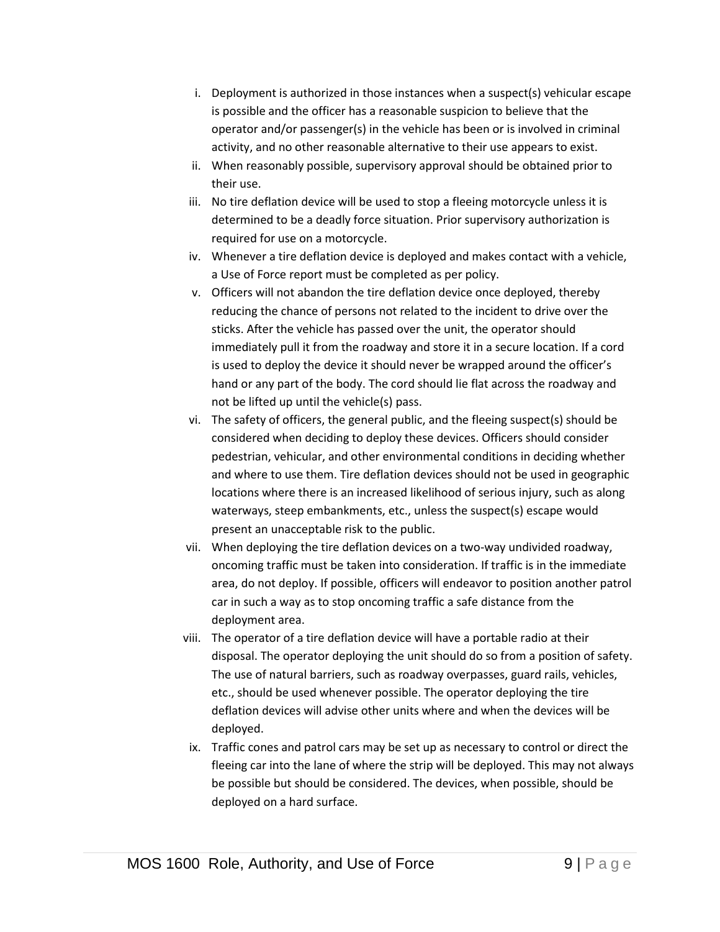- i. Deployment is authorized in those instances when a suspect(s) vehicular escape is possible and the officer has a reasonable suspicion to believe that the operator and/or passenger(s) in the vehicle has been or is involved in criminal activity, and no other reasonable alternative to their use appears to exist.
- ii. When reasonably possible, supervisory approval should be obtained prior to their use.
- iii. No tire deflation device will be used to stop a fleeing motorcycle unless it is determined to be a deadly force situation. Prior supervisory authorization is required for use on a motorcycle.
- iv. Whenever a tire deflation device is deployed and makes contact with a vehicle, a Use of Force report must be completed as per policy.
- v. Officers will not abandon the tire deflation device once deployed, thereby reducing the chance of persons not related to the incident to drive over the sticks. After the vehicle has passed over the unit, the operator should immediately pull it from the roadway and store it in a secure location. If a cord is used to deploy the device it should never be wrapped around the officer's hand or any part of the body. The cord should lie flat across the roadway and not be lifted up until the vehicle(s) pass.
- vi. The safety of officers, the general public, and the fleeing suspect(s) should be considered when deciding to deploy these devices. Officers should consider pedestrian, vehicular, and other environmental conditions in deciding whether and where to use them. Tire deflation devices should not be used in geographic locations where there is an increased likelihood of serious injury, such as along waterways, steep embankments, etc., unless the suspect(s) escape would present an unacceptable risk to the public.
- vii. When deploying the tire deflation devices on a two-way undivided roadway, oncoming traffic must be taken into consideration. If traffic is in the immediate area, do not deploy. If possible, officers will endeavor to position another patrol car in such a way as to stop oncoming traffic a safe distance from the deployment area.
- viii. The operator of a tire deflation device will have a portable radio at their disposal. The operator deploying the unit should do so from a position of safety. The use of natural barriers, such as roadway overpasses, guard rails, vehicles, etc., should be used whenever possible. The operator deploying the tire deflation devices will advise other units where and when the devices will be deployed.
- ix. Traffic cones and patrol cars may be set up as necessary to control or direct the fleeing car into the lane of where the strip will be deployed. This may not always be possible but should be considered. The devices, when possible, should be deployed on a hard surface.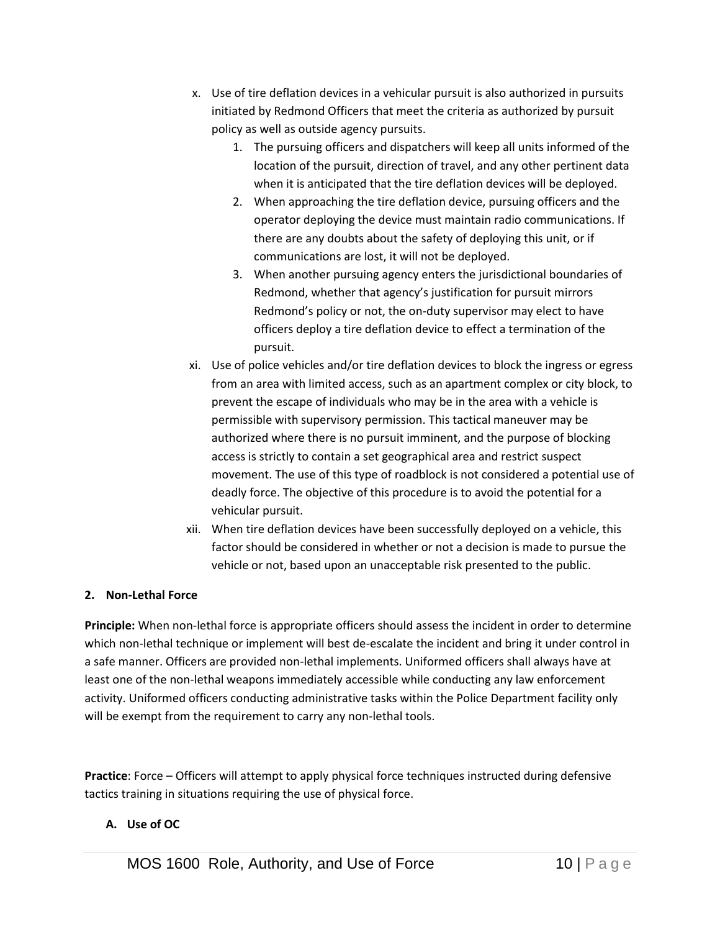- x. Use of tire deflation devices in a vehicular pursuit is also authorized in pursuits initiated by Redmond Officers that meet the criteria as authorized by pursuit policy as well as outside agency pursuits.
	- 1. The pursuing officers and dispatchers will keep all units informed of the location of the pursuit, direction of travel, and any other pertinent data when it is anticipated that the tire deflation devices will be deployed.
	- 2. When approaching the tire deflation device, pursuing officers and the operator deploying the device must maintain radio communications. If there are any doubts about the safety of deploying this unit, or if communications are lost, it will not be deployed.
	- 3. When another pursuing agency enters the jurisdictional boundaries of Redmond, whether that agency's justification for pursuit mirrors Redmond's policy or not, the on-duty supervisor may elect to have officers deploy a tire deflation device to effect a termination of the pursuit.
- xi. Use of police vehicles and/or tire deflation devices to block the ingress or egress from an area with limited access, such as an apartment complex or city block, to prevent the escape of individuals who may be in the area with a vehicle is permissible with supervisory permission. This tactical maneuver may be authorized where there is no pursuit imminent, and the purpose of blocking access is strictly to contain a set geographical area and restrict suspect movement. The use of this type of roadblock is not considered a potential use of deadly force. The objective of this procedure is to avoid the potential for a vehicular pursuit.
- xii. When tire deflation devices have been successfully deployed on a vehicle, this factor should be considered in whether or not a decision is made to pursue the vehicle or not, based upon an unacceptable risk presented to the public.

# **2. Non-Lethal Force**

**Principle:** When non-lethal force is appropriate officers should assess the incident in order to determine which non-lethal technique or implement will best de-escalate the incident and bring it under control in a safe manner. Officers are provided non-lethal implements. Uniformed officers shall always have at least one of the non-lethal weapons immediately accessible while conducting any law enforcement activity. Uniformed officers conducting administrative tasks within the Police Department facility only will be exempt from the requirement to carry any non-lethal tools.

**Practice**: Force – Officers will attempt to apply physical force techniques instructed during defensive tactics training in situations requiring the use of physical force.

# **A. Use of OC**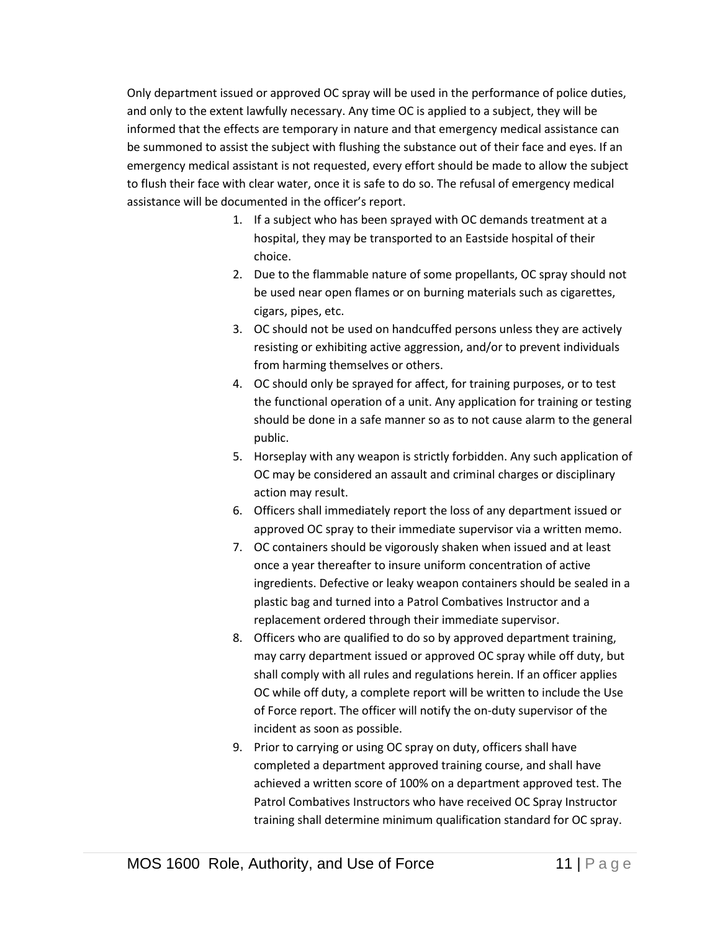Only department issued or approved OC spray will be used in the performance of police duties, and only to the extent lawfully necessary. Any time OC is applied to a subject, they will be informed that the effects are temporary in nature and that emergency medical assistance can be summoned to assist the subject with flushing the substance out of their face and eyes. If an emergency medical assistant is not requested, every effort should be made to allow the subject to flush their face with clear water, once it is safe to do so. The refusal of emergency medical assistance will be documented in the officer's report.

- 1. If a subject who has been sprayed with OC demands treatment at a hospital, they may be transported to an Eastside hospital of their choice.
- 2. Due to the flammable nature of some propellants, OC spray should not be used near open flames or on burning materials such as cigarettes, cigars, pipes, etc.
- 3. OC should not be used on handcuffed persons unless they are actively resisting or exhibiting active aggression, and/or to prevent individuals from harming themselves or others.
- 4. OC should only be sprayed for affect, for training purposes, or to test the functional operation of a unit. Any application for training or testing should be done in a safe manner so as to not cause alarm to the general public.
- 5. Horseplay with any weapon is strictly forbidden. Any such application of OC may be considered an assault and criminal charges or disciplinary action may result.
- 6. Officers shall immediately report the loss of any department issued or approved OC spray to their immediate supervisor via a written memo.
- 7. OC containers should be vigorously shaken when issued and at least once a year thereafter to insure uniform concentration of active ingredients. Defective or leaky weapon containers should be sealed in a plastic bag and turned into a Patrol Combatives Instructor and a replacement ordered through their immediate supervisor.
- 8. Officers who are qualified to do so by approved department training, may carry department issued or approved OC spray while off duty, but shall comply with all rules and regulations herein. If an officer applies OC while off duty, a complete report will be written to include the Use of Force report. The officer will notify the on-duty supervisor of the incident as soon as possible.
- 9. Prior to carrying or using OC spray on duty, officers shall have completed a department approved training course, and shall have achieved a written score of 100% on a department approved test. The Patrol Combatives Instructors who have received OC Spray Instructor training shall determine minimum qualification standard for OC spray.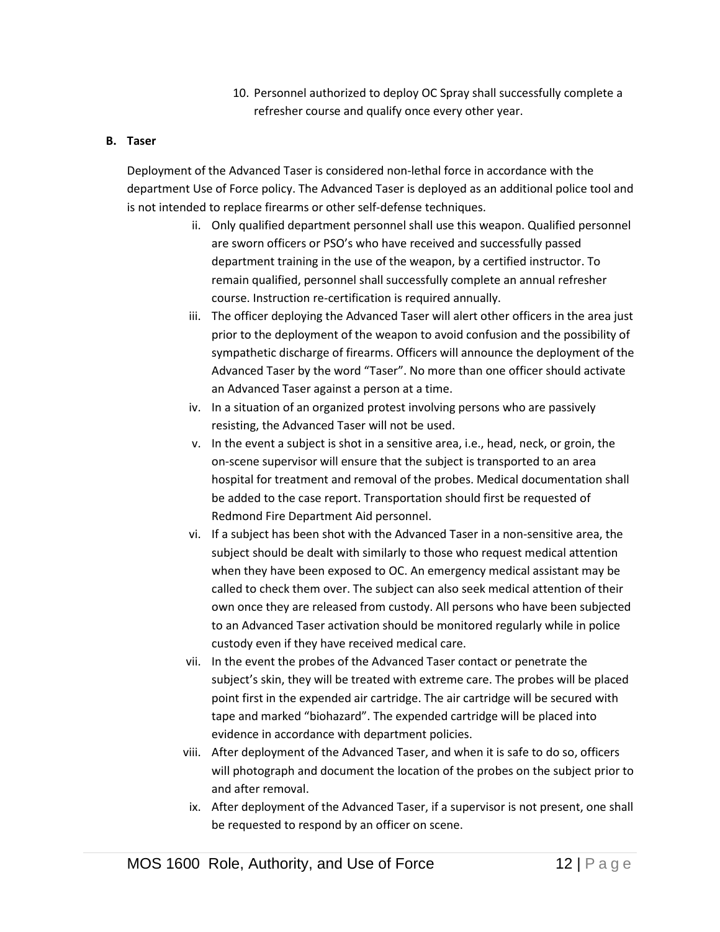10. Personnel authorized to deploy OC Spray shall successfully complete a refresher course and qualify once every other year.

# **B. Taser**

Deployment of the Advanced Taser is considered non-lethal force in accordance with the department Use of Force policy. The Advanced Taser is deployed as an additional police tool and is not intended to replace firearms or other self-defense techniques.

- ii. Only qualified department personnel shall use this weapon. Qualified personnel are sworn officers or PSO's who have received and successfully passed department training in the use of the weapon, by a certified instructor. To remain qualified, personnel shall successfully complete an annual refresher course. Instruction re-certification is required annually.
- iii. The officer deploying the Advanced Taser will alert other officers in the area just prior to the deployment of the weapon to avoid confusion and the possibility of sympathetic discharge of firearms. Officers will announce the deployment of the Advanced Taser by the word "Taser". No more than one officer should activate an Advanced Taser against a person at a time.
- iv. In a situation of an organized protest involving persons who are passively resisting, the Advanced Taser will not be used.
- v. In the event a subject is shot in a sensitive area, i.e., head, neck, or groin, the on-scene supervisor will ensure that the subject is transported to an area hospital for treatment and removal of the probes. Medical documentation shall be added to the case report. Transportation should first be requested of Redmond Fire Department Aid personnel.
- vi. If a subject has been shot with the Advanced Taser in a non-sensitive area, the subject should be dealt with similarly to those who request medical attention when they have been exposed to OC. An emergency medical assistant may be called to check them over. The subject can also seek medical attention of their own once they are released from custody. All persons who have been subjected to an Advanced Taser activation should be monitored regularly while in police custody even if they have received medical care.
- vii. In the event the probes of the Advanced Taser contact or penetrate the subject's skin, they will be treated with extreme care. The probes will be placed point first in the expended air cartridge. The air cartridge will be secured with tape and marked "biohazard". The expended cartridge will be placed into evidence in accordance with department policies.
- viii. After deployment of the Advanced Taser, and when it is safe to do so, officers will photograph and document the location of the probes on the subject prior to and after removal.
- ix. After deployment of the Advanced Taser, if a supervisor is not present, one shall be requested to respond by an officer on scene.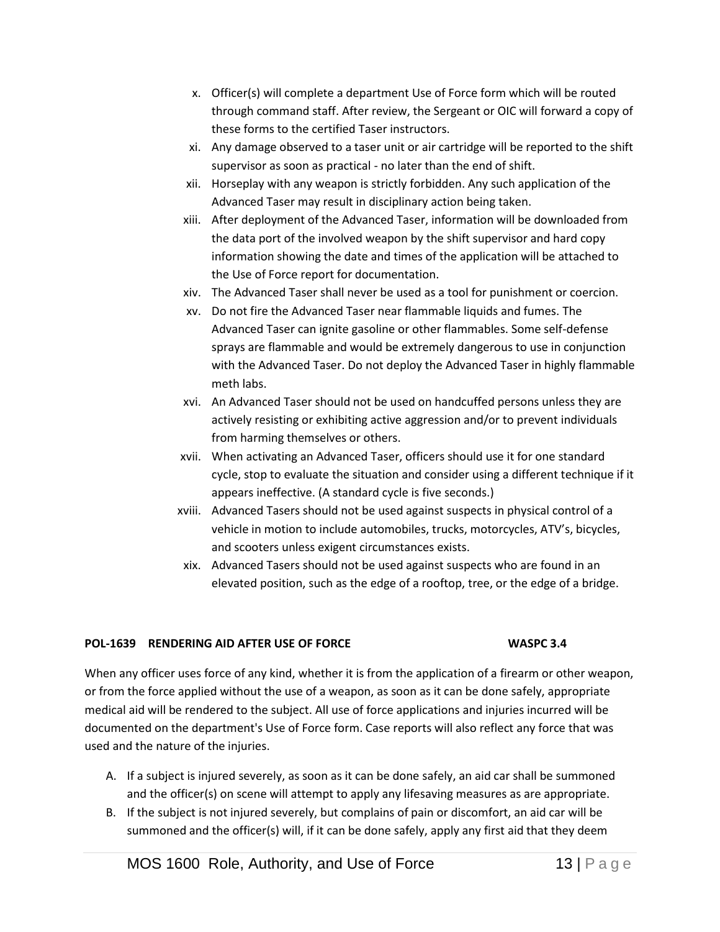- x. Officer(s) will complete a department Use of Force form which will be routed through command staff. After review, the Sergeant or OIC will forward a copy of these forms to the certified Taser instructors.
- xi. Any damage observed to a taser unit or air cartridge will be reported to the shift supervisor as soon as practical - no later than the end of shift.
- xii. Horseplay with any weapon is strictly forbidden. Any such application of the Advanced Taser may result in disciplinary action being taken.
- xiii. After deployment of the Advanced Taser, information will be downloaded from the data port of the involved weapon by the shift supervisor and hard copy information showing the date and times of the application will be attached to the Use of Force report for documentation.
- xiv. The Advanced Taser shall never be used as a tool for punishment or coercion.
- xv. Do not fire the Advanced Taser near flammable liquids and fumes. The Advanced Taser can ignite gasoline or other flammables. Some self-defense sprays are flammable and would be extremely dangerous to use in conjunction with the Advanced Taser. Do not deploy the Advanced Taser in highly flammable meth labs.
- xvi. An Advanced Taser should not be used on handcuffed persons unless they are actively resisting or exhibiting active aggression and/or to prevent individuals from harming themselves or others.
- xvii. When activating an Advanced Taser, officers should use it for one standard cycle, stop to evaluate the situation and consider using a different technique if it appears ineffective. (A standard cycle is five seconds.)
- xviii. Advanced Tasers should not be used against suspects in physical control of a vehicle in motion to include automobiles, trucks, motorcycles, ATV's, bicycles, and scooters unless exigent circumstances exists.
- xix. Advanced Tasers should not be used against suspects who are found in an elevated position, such as the edge of a rooftop, tree, or the edge of a bridge.

# **POL-1639 RENDERING AID AFTER USE OF FORCE WASPC 3.4**

When any officer uses force of any kind, whether it is from the application of a firearm or other weapon, or from the force applied without the use of a weapon, as soon as it can be done safely, appropriate medical aid will be rendered to the subject. All use of force applications and injuries incurred will be documented on the department's Use of Force form. Case reports will also reflect any force that was used and the nature of the injuries.

- A. If a subject is injured severely, as soon as it can be done safely, an aid car shall be summoned and the officer(s) on scene will attempt to apply any lifesaving measures as are appropriate.
- B. If the subject is not injured severely, but complains of pain or discomfort, an aid car will be summoned and the officer(s) will, if it can be done safely, apply any first aid that they deem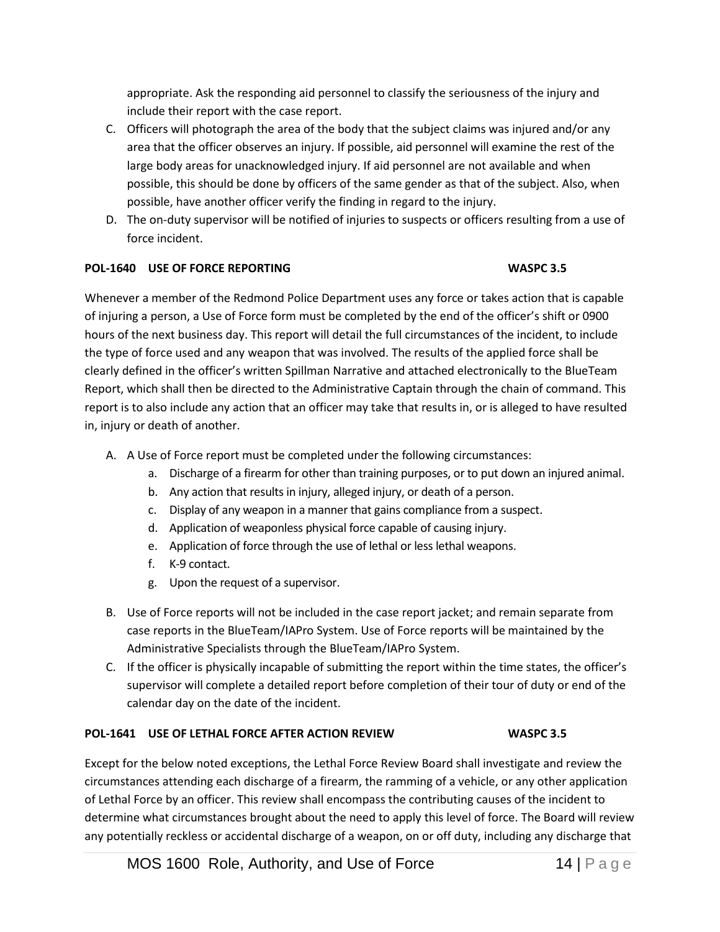appropriate. Ask the responding aid personnel to classify the seriousness of the injury and include their report with the case report.

- C. Officers will photograph the area of the body that the subject claims was injured and/or any area that the officer observes an injury. If possible, aid personnel will examine the rest of the large body areas for unacknowledged injury. If aid personnel are not available and when possible, this should be done by officers of the same gender as that of the subject. Also, when possible, have another officer verify the finding in regard to the injury.
- D. The on-duty supervisor will be notified of injuries to suspects or officers resulting from a use of force incident.

# **POL-1640 USE OF FORCE REPORTING WASPC 3.5**

Whenever a member of the Redmond Police Department uses any force or takes action that is capable of injuring a person, a Use of Force form must be completed by the end of the officer's shift or 0900 hours of the next business day. This report will detail the full circumstances of the incident, to include the type of force used and any weapon that was involved. The results of the applied force shall be clearly defined in the officer's written Spillman Narrative and attached electronically to the BlueTeam Report, which shall then be directed to the Administrative Captain through the chain of command. This report is to also include any action that an officer may take that results in, or is alleged to have resulted in, injury or death of another.

- A. A Use of Force report must be completed under the following circumstances:
	- a. Discharge of a firearm for other than training purposes, or to put down an injured animal.
	- b. Any action that results in injury, alleged injury, or death of a person.
	- c. Display of any weapon in a manner that gains compliance from a suspect.
	- d. Application of weaponless physical force capable of causing injury.
	- e. Application of force through the use of lethal or less lethal weapons.
	- f. K-9 contact.
	- g. Upon the request of a supervisor.
- B. Use of Force reports will not be included in the case report jacket; and remain separate from case reports in the BlueTeam/IAPro System. Use of Force reports will be maintained by the Administrative Specialists through the BlueTeam/IAPro System.
- C. If the officer is physically incapable of submitting the report within the time states, the officer's supervisor will complete a detailed report before completion of their tour of duty or end of the calendar day on the date of the incident.

# **POL-1641 USE OF LETHAL FORCE AFTER ACTION REVIEW WASPC 3.5**

Except for the below noted exceptions, the Lethal Force Review Board shall investigate and review the circumstances attending each discharge of a firearm, the ramming of a vehicle, or any other application of Lethal Force by an officer. This review shall encompass the contributing causes of the incident to determine what circumstances brought about the need to apply this level of force. The Board will review any potentially reckless or accidental discharge of a weapon, on or off duty, including any discharge that